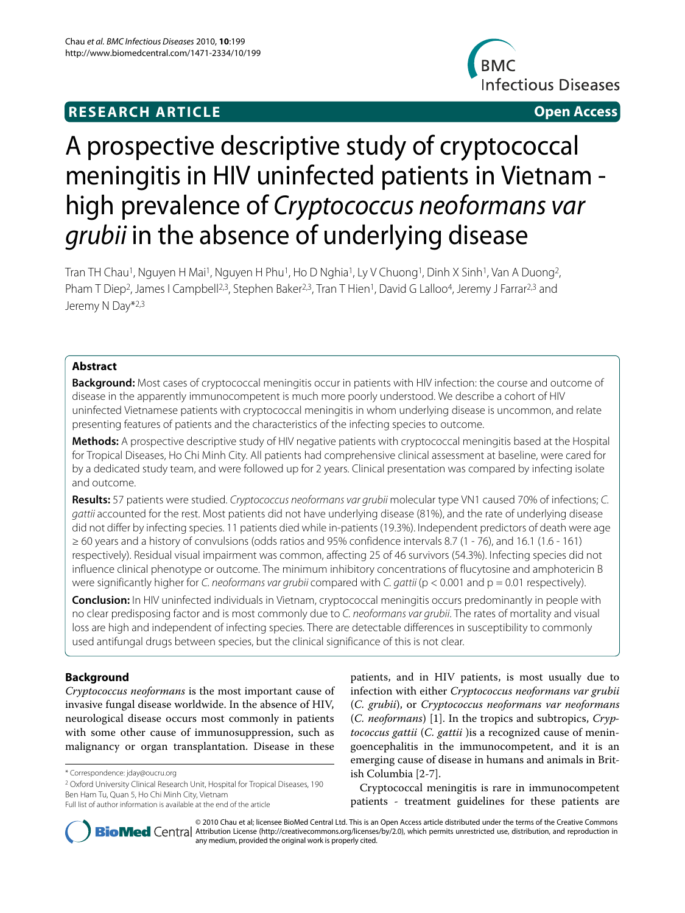# **RESEARCH ARTICLE Open Access**



# A prospective descriptive study of cryptococcal meningitis in HIV uninfected patients in Vietnam high prevalence of Cryptococcus neoformans var grubii in the absence of underlying disease

Tran TH Chau<sup>1</sup>, Nguyen H Mai<sup>1</sup>, Nguyen H Phu<sup>1</sup>, Ho D Nghia<sup>1</sup>, Ly V Chuong<sup>1</sup>, Dinh X Sinh<sup>1</sup>, Van A Duong<sup>2</sup>, Pham T Diep<sup>2</sup>, James I Campbell<sup>2,3</sup>, Stephen Baker<sup>2,3</sup>, Tran T Hien<sup>1</sup>, David G Lalloo<sup>4</sup>, Jeremy J Farrar<sup>2,3</sup> and Jeremy N Day\*2,3

# **Abstract**

**Background:** Most cases of cryptococcal meningitis occur in patients with HIV infection: the course and outcome of disease in the apparently immunocompetent is much more poorly understood. We describe a cohort of HIV uninfected Vietnamese patients with cryptococcal meningitis in whom underlying disease is uncommon, and relate presenting features of patients and the characteristics of the infecting species to outcome.

**Methods:** A prospective descriptive study of HIV negative patients with cryptococcal meningitis based at the Hospital for Tropical Diseases, Ho Chi Minh City. All patients had comprehensive clinical assessment at baseline, were cared for by a dedicated study team, and were followed up for 2 years. Clinical presentation was compared by infecting isolate and outcome.

Results: 57 patients were studied. Cryptococcus neoformans var grubii molecular type VN1 caused 70% of infections; C. gattii accounted for the rest. Most patients did not have underlying disease (81%), and the rate of underlying disease did not differ by infecting species. 11 patients died while in-patients (19.3%). Independent predictors of death were age ≥ 60 years and a history of convulsions (odds ratios and 95% confidence intervals 8.7 (1 - 76), and 16.1 (1.6 - 161) respectively). Residual visual impairment was common, affecting 25 of 46 survivors (54.3%). Infecting species did not influence clinical phenotype or outcome. The minimum inhibitory concentrations of flucytosine and amphotericin B were significantly higher for C. neoformans var grubii compared with C. gattii ( $p < 0.001$  and  $p = 0.01$  respectively).

**Conclusion:** In HIV uninfected individuals in Vietnam, cryptococcal meningitis occurs predominantly in people with no clear predisposing factor and is most commonly due to C. neoformans var grubii. The rates of mortality and visual loss are high and independent of infecting species. There are detectable differences in susceptibility to commonly used antifungal drugs between species, but the clinical significance of this is not clear.

# **Background**

Cryptococcus neoformans is the most important cause of invasive fungal disease worldwide. In the absence of HIV, neurological disease occurs most commonly in patients with some other cause of immunosuppression, such as malignancy or organ transplantation. Disease in these

2 Oxford University Clinical Research Unit, Hospital for Tropical Diseases, 190 Ben Ham Tu, Quan 5, Ho Chi Minh City, Vietnam

patients, and in HIV patients, is most usually due to infection with either Cryptococcus neoformans var grubii (C. grubii), or Cryptococcus neoformans var neoformans (C. neoformans) [1]. In the tropics and subtropics, Cryptococcus gattii (C. gattii )is a recognized cause of meningoencephalitis in the immunocompetent, and it is an emerging cause of disease in humans and animals in British Columbia [2-7].

Cryptococcal meningitis is rare in immunocompetent patients - treatment guidelines for these patients are



© 2010 Chau et al; licensee BioMed Central Ltd. This is an Open Access article distributed under the terms of the Creative Commons **BioMed** Central Attribution License (http://creativecommons.org/licenses/by/2.0), which permits unrestricted use, distribution, and reproduction in any medium, provided the original work is properly cited.

<sup>\*</sup> Correspondence: jday@oucru.org

Full list of author information is available at the end of the article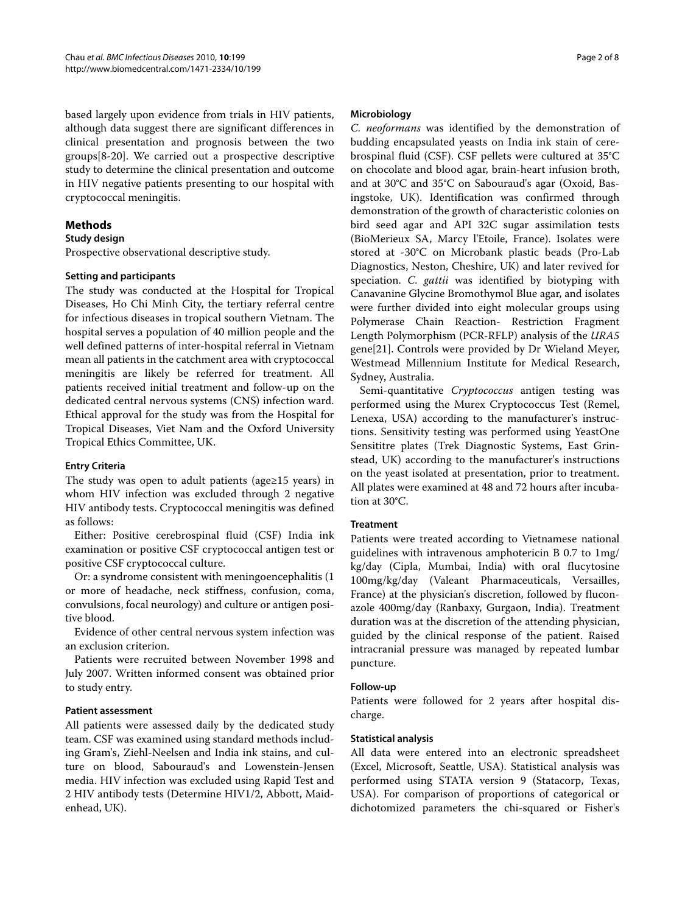based largely upon evidence from trials in HIV patients, although data suggest there are significant differences in clinical presentation and prognosis between the two groups[8-20]. We carried out a prospective descriptive study to determine the clinical presentation and outcome in HIV negative patients presenting to our hospital with cryptococcal meningitis.

# **Methods**

## **Study design**

Prospective observational descriptive study.

# **Setting and participants**

The study was conducted at the Hospital for Tropical Diseases, Ho Chi Minh City, the tertiary referral centre for infectious diseases in tropical southern Vietnam. The hospital serves a population of 40 million people and the well defined patterns of inter-hospital referral in Vietnam mean all patients in the catchment area with cryptococcal meningitis are likely be referred for treatment. All patients received initial treatment and follow-up on the dedicated central nervous systems (CNS) infection ward. Ethical approval for the study was from the Hospital for Tropical Diseases, Viet Nam and the Oxford University Tropical Ethics Committee, UK.

# **Entry Criteria**

The study was open to adult patients (age≥15 years) in whom HIV infection was excluded through 2 negative HIV antibody tests. Cryptococcal meningitis was defined as follows:

Either: Positive cerebrospinal fluid (CSF) India ink examination or positive CSF cryptococcal antigen test or positive CSF cryptococcal culture.

Or: a syndrome consistent with meningoencephalitis (1 or more of headache, neck stiffness, confusion, coma, convulsions, focal neurology) and culture or antigen positive blood.

Evidence of other central nervous system infection was an exclusion criterion.

Patients were recruited between November 1998 and July 2007. Written informed consent was obtained prior to study entry.

#### **Patient assessment**

All patients were assessed daily by the dedicated study team. CSF was examined using standard methods including Gram's, Ziehl-Neelsen and India ink stains, and culture on blood, Sabouraud's and Lowenstein-Jensen media. HIV infection was excluded using Rapid Test and 2 HIV antibody tests (Determine HIV1/2, Abbott, Maidenhead, UK).

#### **Microbiology**

C. neoformans was identified by the demonstration of budding encapsulated yeasts on India ink stain of cerebrospinal fluid (CSF). CSF pellets were cultured at 35°C on chocolate and blood agar, brain-heart infusion broth, and at 30°C and 35°C on Sabouraud's agar (Oxoid, Basingstoke, UK). Identification was confirmed through demonstration of the growth of characteristic colonies on bird seed agar and API 32C sugar assimilation tests (BioMerieux SA, Marcy l'Etoile, France). Isolates were stored at -30°C on Microbank plastic beads (Pro-Lab Diagnostics, Neston, Cheshire, UK) and later revived for speciation. C. gattii was identified by biotyping with Canavanine Glycine Bromothymol Blue agar, and isolates were further divided into eight molecular groups using Polymerase Chain Reaction- Restriction Fragment Length Polymorphism (PCR-RFLP) analysis of the URA5 gene[21]. Controls were provided by Dr Wieland Meyer, Westmead Millennium Institute for Medical Research, Sydney, Australia.

Semi-quantitative *Cryptococcus* antigen testing was performed using the Murex Cryptococcus Test (Remel, Lenexa, USA) according to the manufacturer's instructions. Sensitivity testing was performed using YeastOne Sensititre plates (Trek Diagnostic Systems, East Grinstead, UK) according to the manufacturer's instructions on the yeast isolated at presentation, prior to treatment. All plates were examined at 48 and 72 hours after incubation at 30°C.

# **Treatment**

Patients were treated according to Vietnamese national guidelines with intravenous amphotericin B 0.7 to 1mg/ kg/day (Cipla, Mumbai, India) with oral flucytosine 100mg/kg/day (Valeant Pharmaceuticals, Versailles, France) at the physician's discretion, followed by fluconazole 400mg/day (Ranbaxy, Gurgaon, India). Treatment duration was at the discretion of the attending physician, guided by the clinical response of the patient. Raised intracranial pressure was managed by repeated lumbar puncture.

#### **Follow-up**

Patients were followed for 2 years after hospital discharge.

#### **Statistical analysis**

All data were entered into an electronic spreadsheet (Excel, Microsoft, Seattle, USA). Statistical analysis was performed using STATA version 9 (Statacorp, Texas, USA). For comparison of proportions of categorical or dichotomized parameters the chi-squared or Fisher's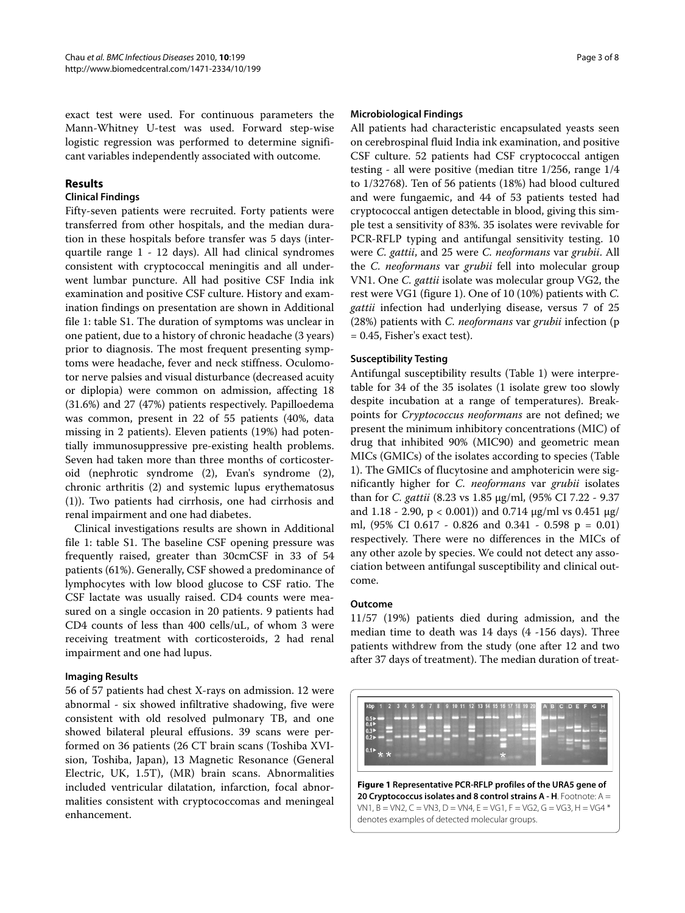exact test were used. For continuous parameters the Mann-Whitney U-test was used. Forward step-wise logistic regression was performed to determine significant variables independently associated with outcome.

# **Results**

## **Clinical Findings**

Fifty-seven patients were recruited. Forty patients were transferred from other hospitals, and the median duration in these hospitals before transfer was 5 days (interquartile range 1 - 12 days). All had clinical syndromes consistent with cryptococcal meningitis and all underwent lumbar puncture. All had positive CSF India ink examination and positive CSF culture. History and examination findings on presentation are shown in Additional file 1: table S1. The duration of symptoms was unclear in one patient, due to a history of chronic headache (3 years) prior to diagnosis. The most frequent presenting symptoms were headache, fever and neck stiffness. Oculomotor nerve palsies and visual disturbance (decreased acuity or diplopia) were common on admission, affecting 18 (31.6%) and 27 (47%) patients respectively. Papilloedema was common, present in 22 of 55 patients (40%, data missing in 2 patients). Eleven patients (19%) had potentially immunosuppressive pre-existing health problems. Seven had taken more than three months of corticosteroid (nephrotic syndrome (2), Evan's syndrome (2), chronic arthritis (2) and systemic lupus erythematosus (1)). Two patients had cirrhosis, one had cirrhosis and renal impairment and one had diabetes.

Clinical investigations results are shown in Additional file 1: table S1. The baseline CSF opening pressure was frequently raised, greater than 30cmCSF in 33 of 54 patients (61%). Generally, CSF showed a predominance of lymphocytes with low blood glucose to CSF ratio. The CSF lactate was usually raised. CD4 counts were measured on a single occasion in 20 patients. 9 patients had CD4 counts of less than 400 cells/uL, of whom 3 were receiving treatment with corticosteroids, 2 had renal impairment and one had lupus.

#### **Imaging Results**

56 of 57 patients had chest X-rays on admission. 12 were abnormal - six showed infiltrative shadowing, five were consistent with old resolved pulmonary TB, and one showed bilateral pleural effusions. 39 scans were performed on 36 patients (26 CT brain scans (Toshiba XVIsion, Toshiba, Japan), 13 Magnetic Resonance (General Electric, UK, 1.5T), (MR) brain scans. Abnormalities included ventricular dilatation, infarction, focal abnormalities consistent with cryptococcomas and meningeal enhancement.

#### **Microbiological Findings**

All patients had characteristic encapsulated yeasts seen on cerebrospinal fluid India ink examination, and positive CSF culture. 52 patients had CSF cryptococcal antigen testing - all were positive (median titre 1/256, range 1/4 to 1/32768). Ten of 56 patients (18%) had blood cultured and were fungaemic, and 44 of 53 patients tested had cryptococcal antigen detectable in blood, giving this simple test a sensitivity of 83%. 35 isolates were revivable for PCR-RFLP typing and antifungal sensitivity testing. 10 were C. gattii, and 25 were C. neoformans var grubii. All the C. neoformans var grubii fell into molecular group VN1. One C. gattii isolate was molecular group VG2, the rest were VG1 (figure 1). One of 10 (10%) patients with C. gattii infection had underlying disease, versus 7 of 25 (28%) patients with C. neoformans var grubii infection (p = 0.45, Fisher's exact test).

#### **Susceptibility Testing**

Antifungal susceptibility results (Table 1) were interpretable for 34 of the 35 isolates (1 isolate grew too slowly despite incubation at a range of temperatures). Breakpoints for Cryptococcus neoformans are not defined; we present the minimum inhibitory concentrations (MIC) of drug that inhibited 90% (MIC90) and geometric mean MICs (GMICs) of the isolates according to species (Table 1). The GMICs of flucytosine and amphotericin were significantly higher for C. neoformans var grubii isolates than for C. gattii (8.23 vs 1.85 μg/ml, (95% CI 7.22 - 9.37 and 1.18 - 2.90, p < 0.001)) and 0.714 μg/ml vs 0.451 μg/ ml, (95% CI 0.617 - 0.826 and 0.341 - 0.598 p = 0.01) respectively. There were no differences in the MICs of any other azole by species. We could not detect any association between antifungal susceptibility and clinical outcome.

#### **Outcome**

11/57 (19%) patients died during admission, and the median time to death was 14 days (4 -156 days). Three patients withdrew from the study (one after 12 and two after 37 days of treatment). The median duration of treat-

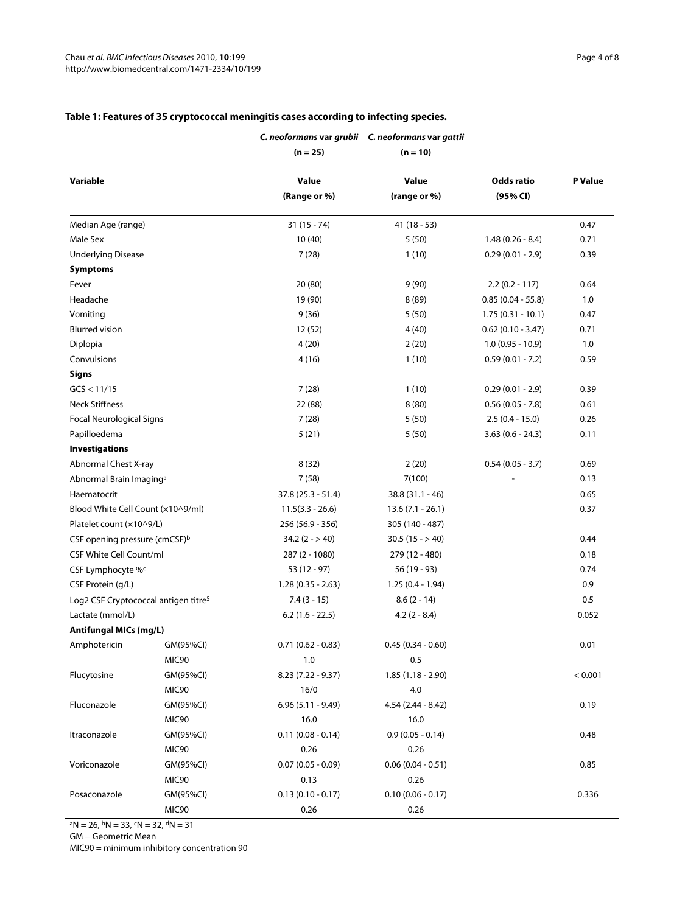|                                                  |           |                     | C. neoformans var grubii C. neoformans var gattii |                     |         |
|--------------------------------------------------|-----------|---------------------|---------------------------------------------------|---------------------|---------|
|                                                  |           | $(n = 25)$          | $(n = 10)$                                        |                     |         |
| Variable                                         |           | Value               | Value                                             | <b>Odds ratio</b>   | P Value |
|                                                  |           | (Range or %)        | (range or %)                                      | (95% CI)            |         |
| Median Age (range)                               |           | $31(15 - 74)$       | $41(18-53)$                                       |                     | 0.47    |
| Male Sex                                         |           | 10 (40)             | 5(50)                                             | $1.48(0.26 - 8.4)$  | 0.71    |
| <b>Underlying Disease</b>                        |           | 7(28)               | 1(10)                                             | $0.29(0.01 - 2.9)$  | 0.39    |
| <b>Symptoms</b>                                  |           |                     |                                                   |                     |         |
| Fever                                            |           | 20(80)              | 9(90)                                             | $2.2(0.2 - 117)$    | 0.64    |
| Headache                                         |           | 19 (90)             | 8(89)                                             | $0.85(0.04 - 55.8)$ | 1.0     |
| Vomiting                                         |           | 9(36)               | 5(50)                                             | $1.75(0.31 - 10.1)$ | 0.47    |
| <b>Blurred vision</b>                            |           | 12 (52)             | 4(40)                                             | $0.62(0.10 - 3.47)$ | 0.71    |
| Diplopia                                         |           | 4(20)               | 2(20)                                             | $1.0(0.95 - 10.9)$  | 1.0     |
| Convulsions                                      |           | 4(16)               | 1(10)                                             | $0.59(0.01 - 7.2)$  | 0.59    |
| <b>Signs</b>                                     |           |                     |                                                   |                     |         |
| GCS < 11/15                                      |           | 7(28)               | 1(10)                                             | $0.29(0.01 - 2.9)$  | 0.39    |
| <b>Neck Stiffness</b>                            |           | 22 (88)             | 8(80)                                             | $0.56(0.05 - 7.8)$  | 0.61    |
| <b>Focal Neurological Signs</b>                  |           | 7(28)               | 5(50)                                             | $2.5(0.4 - 15.0)$   | 0.26    |
| Papilloedema                                     |           | 5(21)               | 5(50)                                             | $3.63(0.6 - 24.3)$  | 0.11    |
| <b>Investigations</b>                            |           |                     |                                                   |                     |         |
| Abnormal Chest X-ray                             |           | 8(32)               | 2(20)                                             | $0.54(0.05 - 3.7)$  | 0.69    |
| Abnormal Brain Imaging <sup>a</sup>              |           | 7(58)               | 7(100)                                            |                     | 0.13    |
| Haematocrit                                      |           | $37.8(25.3 - 51.4)$ | $38.8(31.1 - 46)$                                 |                     | 0.65    |
| Blood White Cell Count (x10^9/ml)                |           | $11.5(3.3 - 26.6)$  | $13.6(7.1 - 26.1)$                                |                     | 0.37    |
| Platelet count (×10^9/L)                         |           | 256 (56.9 - 356)    | 305 (140 - 487)                                   |                     |         |
| CSF opening pressure (cmCSF) <sup>b</sup>        |           | $34.2(2 - 940)$     | $30.5(15 - > 40)$                                 |                     | 0.44    |
| <b>CSF White Cell Count/ml</b>                   |           | 287 (2 - 1080)      | 279 (12 - 480)                                    |                     | 0.18    |
| CSF Lymphocyte %c                                |           | $53(12 - 97)$       | 56 (19 - 93)                                      |                     | 0.74    |
| CSF Protein (g/L)                                |           | $1.28(0.35 - 2.63)$ | $1.25(0.4 - 1.94)$                                |                     | 0.9     |
| Log2 CSF Cryptococcal antigen titre <sup>5</sup> |           | $7.4(3 - 15)$       | $8.6(2 - 14)$                                     |                     | 0.5     |
| Lactate (mmol/L)                                 |           | $6.2(1.6 - 22.5)$   | $4.2(2 - 8.4)$                                    |                     | 0.052   |
| Antifungal MICs (mg/L)                           |           |                     |                                                   |                     |         |
| Amphotericin                                     | GM(95%CI) | $0.71(0.62 - 0.83)$ | $0.45(0.34 - 0.60)$                               |                     | 0.01    |
|                                                  | MIC90     | 1.0                 | 0.5                                               |                     |         |
| Flucytosine                                      | GM(95%CI) | $8.23(7.22 - 9.37)$ | $1.85(1.18 - 2.90)$                               |                     | < 0.001 |
|                                                  | MIC90     | 16/0                | 4.0                                               |                     |         |
| Fluconazole                                      | GM(95%CI) | $6.96(5.11 - 9.49)$ | $4.54(2.44 - 8.42)$                               |                     | 0.19    |
|                                                  | MIC90     | 16.0                | 16.0                                              |                     |         |
| Itraconazole                                     | GM(95%CI) | $0.11(0.08 - 0.14)$ | $0.9(0.05 - 0.14)$                                |                     | 0.48    |
|                                                  | MIC90     | 0.26                | 0.26                                              |                     |         |
| Voriconazole                                     | GM(95%CI) | $0.07(0.05 - 0.09)$ | $0.06(0.04 - 0.51)$                               |                     | 0.85    |
|                                                  | MIC90     | 0.13                | 0.26                                              |                     |         |
| Posaconazole                                     | GM(95%CI) | $0.13(0.10 - 0.17)$ | $0.10(0.06 - 0.17)$                               |                     | 0.336   |
|                                                  | MIC90     | 0.26                | 0.26                                              |                     |         |

# **Table 1: Features of 35 cryptococcal meningitis cases according to infecting species.**

 $aN = 26$ ,  $bN = 33$ ,  $cN = 32$ ,  $dN = 31$ 

GM = Geometric Mean

MIC90 = minimum inhibitory concentration 90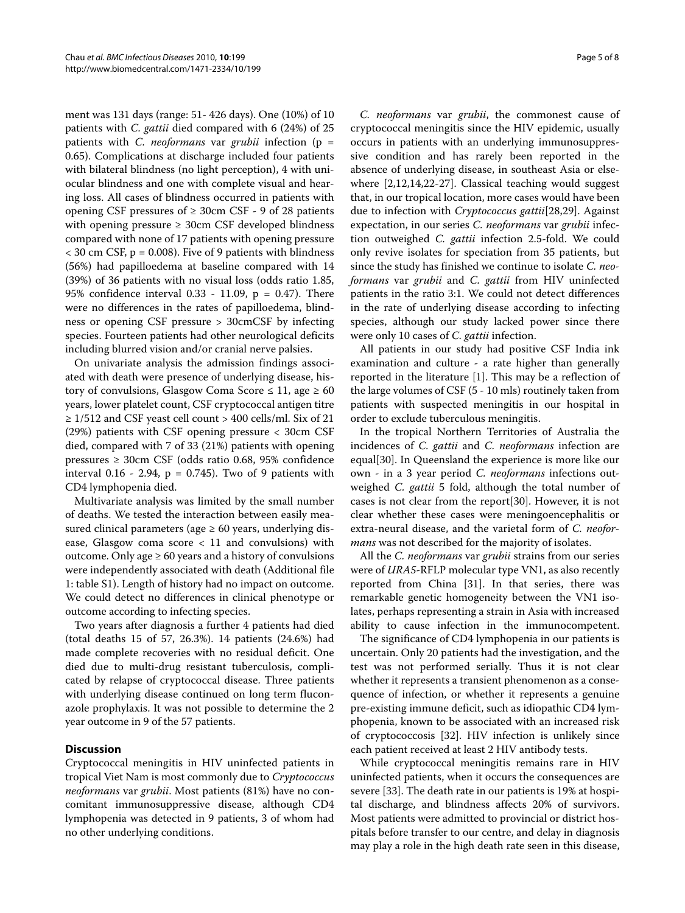ment was 131 days (range: 51- 426 days). One (10%) of 10 patients with C. gattii died compared with 6 (24%) of 25 patients with C. *neoformans* var *grubii* infection ( $p =$ 0.65). Complications at discharge included four patients with bilateral blindness (no light perception), 4 with uniocular blindness and one with complete visual and hearing loss. All cases of blindness occurred in patients with opening CSF pressures of  $\geq$  30cm CSF - 9 of 28 patients with opening pressure ≥ 30cm CSF developed blindness compared with none of 17 patients with opening pressure  $<$  30 cm CSF, p = 0.008). Five of 9 patients with blindness (56%) had papilloedema at baseline compared with 14 (39%) of 36 patients with no visual loss (odds ratio 1.85, 95% confidence interval 0.33 - 11.09, p = 0.47). There were no differences in the rates of papilloedema, blindness or opening CSF pressure > 30cmCSF by infecting species. Fourteen patients had other neurological deficits including blurred vision and/or cranial nerve palsies.

On univariate analysis the admission findings associated with death were presence of underlying disease, history of convulsions, Glasgow Coma Score  $\leq 11$ , age  $\geq 60$ years, lower platelet count, CSF cryptococcal antigen titre  $\geq$  1/512 and CSF yeast cell count > 400 cells/ml. Six of 21 (29%) patients with CSF opening pressure < 30cm CSF died, compared with 7 of 33 (21%) patients with opening pressures ≥ 30cm CSF (odds ratio 0.68, 95% confidence interval  $0.16 - 2.94$ ,  $p = 0.745$ ). Two of 9 patients with CD4 lymphopenia died.

Multivariate analysis was limited by the small number of deaths. We tested the interaction between easily measured clinical parameters (age  $\geq 60$  years, underlying disease, Glasgow coma score < 11 and convulsions) with outcome. Only age  $\geq 60$  years and a history of convulsions were independently associated with death (Additional file 1: table S1). Length of history had no impact on outcome. We could detect no differences in clinical phenotype or outcome according to infecting species.

Two years after diagnosis a further 4 patients had died (total deaths 15 of 57, 26.3%). 14 patients (24.6%) had made complete recoveries with no residual deficit. One died due to multi-drug resistant tuberculosis, complicated by relapse of cryptococcal disease. Three patients with underlying disease continued on long term fluconazole prophylaxis. It was not possible to determine the 2 year outcome in 9 of the 57 patients.

# **Discussion**

Cryptococcal meningitis in HIV uninfected patients in tropical Viet Nam is most commonly due to Cryptococcus neoformans var grubii. Most patients (81%) have no concomitant immunosuppressive disease, although CD4 lymphopenia was detected in 9 patients, 3 of whom had no other underlying conditions.

C. neoformans var grubii, the commonest cause of cryptococcal meningitis since the HIV epidemic, usually occurs in patients with an underlying immunosuppressive condition and has rarely been reported in the absence of underlying disease, in southeast Asia or elsewhere [2,12,14,22-27]. Classical teaching would suggest that, in our tropical location, more cases would have been due to infection with Cryptococcus gattii[28,29]. Against expectation, in our series C. neoformans var grubii infection outweighed C. gattii infection 2.5-fold. We could only revive isolates for speciation from 35 patients, but since the study has finished we continue to isolate C. neoformans var grubii and C. gattii from HIV uninfected patients in the ratio 3:1. We could not detect differences in the rate of underlying disease according to infecting

were only 10 cases of *C. gattii* infection. All patients in our study had positive CSF India ink examination and culture - a rate higher than generally reported in the literature [1]. This may be a reflection of the large volumes of CSF (5 - 10 mls) routinely taken from patients with suspected meningitis in our hospital in order to exclude tuberculous meningitis.

species, although our study lacked power since there

In the tropical Northern Territories of Australia the incidences of C. gattii and C. neoformans infection are equal[30]. In Queensland the experience is more like our own - in a 3 year period C. neoformans infections outweighed C. gattii 5 fold, although the total number of cases is not clear from the report[30]. However, it is not clear whether these cases were meningoencephalitis or extra-neural disease, and the varietal form of C. neoformans was not described for the majority of isolates.

All the *C. neoformans* var *grubii* strains from our series were of URA5-RFLP molecular type VN1, as also recently reported from China [31]. In that series, there was remarkable genetic homogeneity between the VN1 isolates, perhaps representing a strain in Asia with increased ability to cause infection in the immunocompetent.

The significance of CD4 lymphopenia in our patients is uncertain. Only 20 patients had the investigation, and the test was not performed serially. Thus it is not clear whether it represents a transient phenomenon as a consequence of infection, or whether it represents a genuine pre-existing immune deficit, such as idiopathic CD4 lymphopenia, known to be associated with an increased risk of cryptococcosis [32]. HIV infection is unlikely since each patient received at least 2 HIV antibody tests.

While cryptococcal meningitis remains rare in HIV uninfected patients, when it occurs the consequences are severe [33]. The death rate in our patients is 19% at hospital discharge, and blindness affects 20% of survivors. Most patients were admitted to provincial or district hospitals before transfer to our centre, and delay in diagnosis may play a role in the high death rate seen in this disease,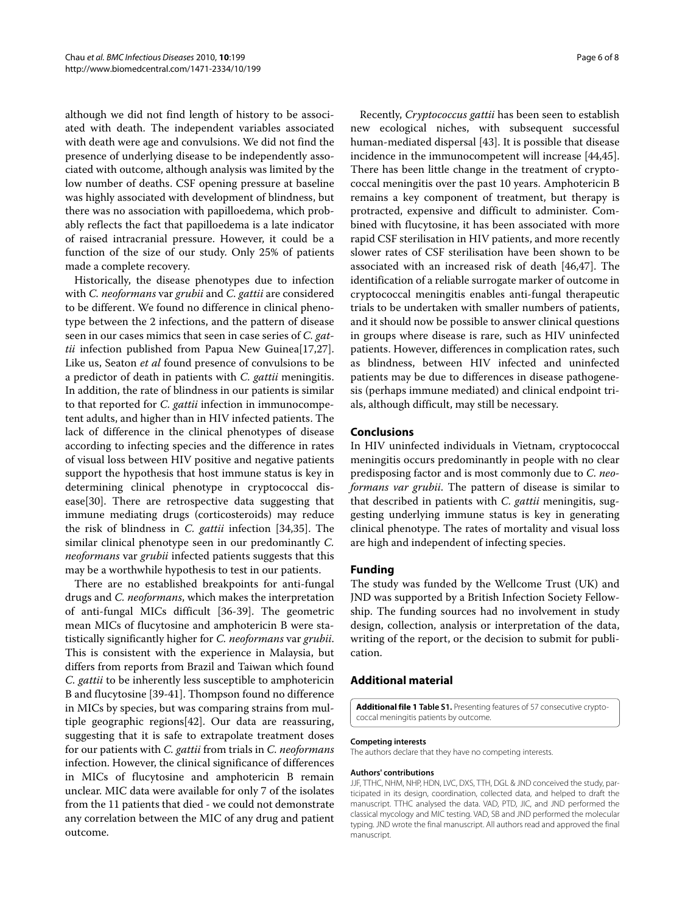although we did not find length of history to be associated with death. The independent variables associated with death were age and convulsions. We did not find the presence of underlying disease to be independently associated with outcome, although analysis was limited by the low number of deaths. CSF opening pressure at baseline was highly associated with development of blindness, but there was no association with papilloedema, which probably reflects the fact that papilloedema is a late indicator of raised intracranial pressure. However, it could be a function of the size of our study. Only 25% of patients made a complete recovery.

Historically, the disease phenotypes due to infection with C. neoformans var grubii and C. gattii are considered to be different. We found no difference in clinical phenotype between the 2 infections, and the pattern of disease seen in our cases mimics that seen in case series of C. gattii infection published from Papua New Guinea[17,27]. Like us, Seaton et al found presence of convulsions to be a predictor of death in patients with C. gattii meningitis. In addition, the rate of blindness in our patients is similar to that reported for C. gattii infection in immunocompetent adults, and higher than in HIV infected patients. The lack of difference in the clinical phenotypes of disease according to infecting species and the difference in rates of visual loss between HIV positive and negative patients support the hypothesis that host immune status is key in determining clinical phenotype in cryptococcal disease[30]. There are retrospective data suggesting that immune mediating drugs (corticosteroids) may reduce the risk of blindness in C. gattii infection [34,35]. The similar clinical phenotype seen in our predominantly C. neoformans var grubii infected patients suggests that this may be a worthwhile hypothesis to test in our patients.

There are no established breakpoints for anti-fungal drugs and *C. neoformans*, which makes the interpretation of anti-fungal MICs difficult [36-39]. The geometric mean MICs of flucytosine and amphotericin B were statistically significantly higher for C. neoformans var grubii. This is consistent with the experience in Malaysia, but differs from reports from Brazil and Taiwan which found C. gattii to be inherently less susceptible to amphotericin B and flucytosine [39-41]. Thompson found no difference in MICs by species, but was comparing strains from multiple geographic regions[42]. Our data are reassuring, suggesting that it is safe to extrapolate treatment doses for our patients with C. gattii from trials in C. neoformans infection. However, the clinical significance of differences in MICs of flucytosine and amphotericin B remain unclear. MIC data were available for only 7 of the isolates from the 11 patients that died - we could not demonstrate any correlation between the MIC of any drug and patient outcome.

Recently, Cryptococcus gattii has been seen to establish new ecological niches, with subsequent successful human-mediated dispersal [43]. It is possible that disease incidence in the immunocompetent will increase [44,45]. There has been little change in the treatment of cryptococcal meningitis over the past 10 years. Amphotericin B remains a key component of treatment, but therapy is protracted, expensive and difficult to administer. Combined with flucytosine, it has been associated with more rapid CSF sterilisation in HIV patients, and more recently slower rates of CSF sterilisation have been shown to be associated with an increased risk of death [46,47]. The identification of a reliable surrogate marker of outcome in cryptococcal meningitis enables anti-fungal therapeutic trials to be undertaken with smaller numbers of patients, and it should now be possible to answer clinical questions in groups where disease is rare, such as HIV uninfected patients. However, differences in complication rates, such as blindness, between HIV infected and uninfected patients may be due to differences in disease pathogenesis (perhaps immune mediated) and clinical endpoint trials, although difficult, may still be necessary.

#### **Conclusions**

In HIV uninfected individuals in Vietnam, cryptococcal meningitis occurs predominantly in people with no clear predisposing factor and is most commonly due to C. neoformans var grubii. The pattern of disease is similar to that described in patients with C. gattii meningitis, suggesting underlying immune status is key in generating clinical phenotype. The rates of mortality and visual loss are high and independent of infecting species.

#### **Funding**

The study was funded by the Wellcome Trust (UK) and JND was supported by a British Infection Society Fellowship. The funding sources had no involvement in study design, collection, analysis or interpretation of the data, writing of the report, or the decision to submit for publication.

#### **Additional material**

**Additional file 1 Table S1.** Presenting features of 57 consecutive cryptococcal meningitis patients by outcome.

#### **Competing interests**

The authors declare that they have no competing interests.

#### **Authors' contributions**

JJF, TTHC, NHM, NHP, HDN, LVC, DXS, TTH, DGL & JND conceived the study, participated in its design, coordination, collected data, and helped to draft the manuscript. TTHC analysed the data. VAD, PTD, JIC, and JND performed the classical mycology and MIC testing. VAD, SB and JND performed the molecular typing. JND wrote the final manuscript. All authors read and approved the final manuscript.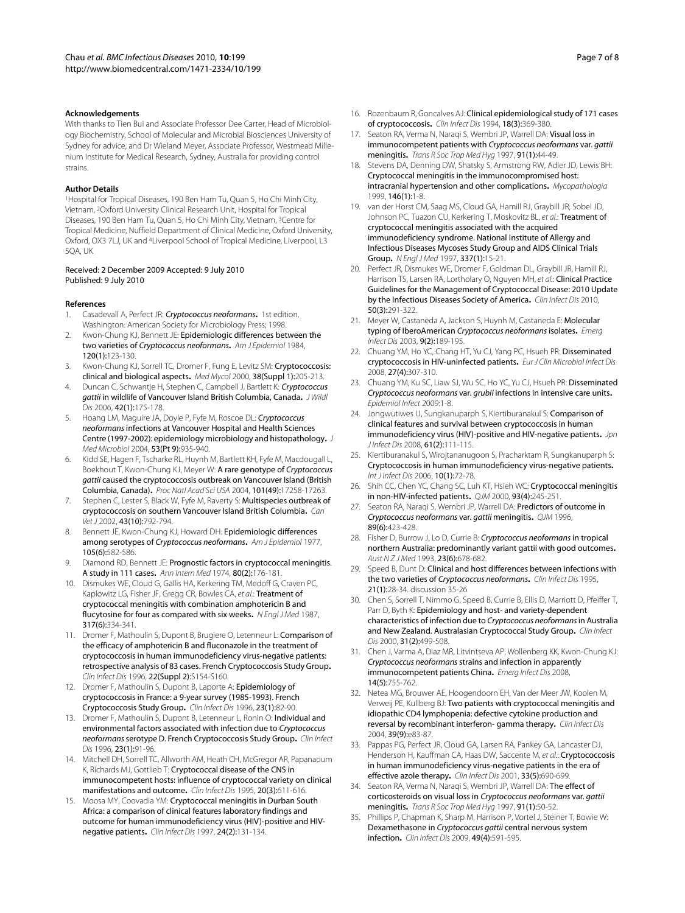#### **Acknowledgements**

With thanks to Tien Bui and Associate Professor Dee Carter, Head of Microbiology Biochemistry, School of Molecular and Microbial Biosciences University of Sydney for advice, and Dr Wieland Meyer, Associate Professor, Westmead Millenium Institute for Medical Research, Sydney, Australia for providing control strains.

#### **Author Details**

1Hospital for Tropical Diseases, 190 Ben Ham Tu, Quan 5, Ho Chi Minh City, Vietnam, 2Oxford University Clinical Research Unit, Hospital for Tropical Diseases, 190 Ben Ham Tu, Quan 5, Ho Chi Minh City, Vietnam, 3Centre for Tropical Medicine, Nuffield Department of Clinical Medicine, Oxford University, Oxford, OX3 7LJ, UK and 4Liverpool School of Tropical Medicine, Liverpool, L3 5QA, UK

#### Received: 2 December 2009 Accepted: 9 July 2010 Published: 9 July 2010

#### **References**

- 1. Casadevall A, Perfect JR: Cryptococcus neoformans**.** 1st edition. Washington: American Society for Microbiology Press; 1998.
- Kwon-Chung KJ, Bennett JE: Epidemiologic differences between the two varieties of Cryptococcus neoformans**.** Am J Epidemiol 1984, 120(1):123-130.
- 3. Kwon-Chung KJ, Sorrell TC, Dromer F, Fung E, Levitz SM: Cryptococcosis: clinical and biological aspects**.** Med Mycol 2000, 38(Suppl 1):205-213.
- 4. Duncan C, Schwantie H, Stephen C, Campbell J, Bartlett K: Cryptococcus gattii in wildlife of Vancouver Island British Columbia, Canada**.** J Wildl Dis 2006, 42(1):175-178.
- 5. Hoang LM, Maguire JA, Doyle P, Fyfe M, Roscoe DL: Cryptococcus neoformans infections at Vancouver Hospital and Health Sciences Centre (1997-2002): epidemiology microbiology and histopathology**.** J Med Microbiol 2004, 53(Pt 9):935-940.
- 6. Kidd SE, Hagen F, Tscharke RL, Huynh M, Bartlett KH, Fyfe M, Macdougall L, Boekhout T, Kwon-Chung KJ, Meyer W: **A rare genotype of** *Cryptococcus*<br>gattii caused the cryptococcosis outbreak on Vancouver Island (British gattii caused the cryptococcosis outbreak on Vancouver Island (British<br>Columbia Canada) *Prochlatl Acad Sci USA* 2004 101(49):17258-17263 Columbia, Canada)**.** Proc Natl Acad Sci USA 2004, 101(49):17258-17263.
- 7. Stephen C, Lester S, Black W, Fyfe M, Raverty S: Multispecies outbreak of cryptococcosis on southern Vancouver Island British Columbia**.** Can Vet J 2002, 43(10):792-794.
- 8. Bennett JE, Kwon-Chung KJ, Howard DH: Epidemiologic differences among serotypes of Cryptococcus neoformans**.** Am J Epidemiol 1977, 105(6):582-586.
- 9. Diamond RD, Bennett JE: Prognostic factors in cryptococcal meningitis. A study in 111 cases**.** Ann Intern Med 1974, 80(2):176-181.
- 10. Dismukes WE, Cloud G, Gallis HA, Kerkering TM, Medoff G, Craven PC, Kaplowitz LG, Fisher JF, Gregg CR, Bowles CA, et al.: Treatment of cryptococcal meningitis with combination amphotericin B and flucytosine for four as compared with six weeks. N Engl J Med 1987, 317(6):334-341.
- 11. Dromer F, Mathoulin S, Dupont B, Brugiere O, Letenneur L: Comparison of the efficacy of amphotericin B and fluconazole in the treatment of cryptococcosis in human immunodeficiency virus-negative patients: retrospective analysis of 83 cases. French Cryptococcosis Study Group**.** Clin Infect Dis 1996, 22(Suppl 2):S154-S160.
- 12. Dromer F, Mathoulin S, Dupont B, Laporte A: Epidemiology of cryptococcosis in France: a 9-year survey (1985-1993). French Cryptococcosis Study Group**.** Clin Infect Dis 1996, 23(1):82-90.
- 13. Dromer F, Mathoulin S, Dupont B, Letenneur L, Ronin O: Individual and environmental factors associated with infection due to Cryptococcus neoformans serotype D. French Cryptococcosis Study Group**.** Clin Infect Dis 1996, 23(1):91-96.
- 14. Mitchell DH, Sorrell TC, Allworth AM, Heath CH, McGregor AR, Papanaoum K, Richards MJ, Gottlieb T: Cryptococcal disease of the CNS in immunocompetent hosts: influence of cryptococcal variety on clinical manifestations and outcome**.** Clin Infect Dis 1995, 20(3):611-616.
- 15. Moosa MY, Coovadia YM: Cryptococcal meningitis in Durban South Africa: a comparison of clinical features laboratory findings and outcome for human immunodeficiency virus (HIV)-positive and HIVnegative patients**.** Clin Infect Dis 1997, 24(2):131-134.
- 16. Rozenbaum R, Goncalves AJ: Clinical epidemiological study of 171 cases of cryptococcosis**.** Clin Infect Dis 1994, 18(3):369-380.
- 17. Seaton RA, Verma N, Naraqi S, Wembri JP, Warrell DA: Visual loss in immunocompetent patients with Cryptococcus neoformans var. gattii meningitis**.** Trans R Soc Trop Med Hyg 1997, 91(1):44-49.
- 18. Stevens DA, Denning DW, Shatsky S, Armstrong RW, Adler JD, Lewis BH: Cryptococcal meningitis in the immunocompromised host: intracranial hypertension and other complications**.** Mycopathologia 1999, 146(1):1-8.
- 19. van der Horst CM, Saag MS, Cloud GA, Hamill RJ, Graybill JR, Sobel JD, Johnson PC, Tuazon CU, Kerkering T, Moskovitz BL, et al.: Treatment of cryptococcal meningitis associated with the acquired immunodeficiency syndrome. National Institute of Allergy and Infectious Diseases Mycoses Study Group and AIDS Clinical Trials Group**.** N Engl J Med 1997, 337(1):15-21.
- 20. Perfect JR, Dismukes WE, Dromer F, Goldman DL, Graybill JR, Hamill RJ, Harrison TS, Larsen RA, Lortholary O, Nguyen MH, et al.: Clinical Practice Guidelines for the Management of Cryptococcal Disease: 2010 Update by the Infectious Diseases Society of America**.** Clin Infect Dis 2010, 50(3):291-322.
- 21. Meyer W, Castaneda A, Jackson S, Huynh M, Castaneda E: Molecular typing of IberoAmerican Cryptococcus neoformans isolates**.** Emerg Infect Dis 2003, 9(2):189-195.
- 22. Chuang YM, Ho YC, Chang HT, Yu CJ, Yang PC, Hsueh PR: Disseminated cryptococcosis in HIV-uninfected patients**.** Eur J Clin Microbiol Infect Dis 2008, 27(4):307-310.
- 23. Chuang YM, Ku SC, Liaw SJ, Wu SC, Ho YC, Yu CJ, Hsueh PR: Disseminated Cryptococcus neoformans var. grubii infections in intensive care units**.** Epidemiol Infect 2009:1-8.
- 24. Jongwutiwes U, Sungkanuparph S, Kiertiburanakul S: Comparison of clinical features and survival between cryptococcosis in human immunodeficiency virus (HIV)-positive and HIV-negative patients. Jpn J Infect Dis 2008, 61(2):111-115.
- 25. Kiertiburanakul S, Wirojtananugoon S, Pracharktam R, Sungkanuparph S: Cryptococcosis in human immunodeficiency virus-negative patients**.** Int J Infect Dis 2006, 10(1):72-78.
- 26. Shih CC, Chen YC, Chang SC, Luh KT, Hsieh WC: Cryptococcal meningitis in non-HIV-infected patients**.** QJM 2000, 93(4):245-251.
- 27. Seaton RA, Naraqi S, Wembri JP, Warrell DA: Predictors of outcome in Cryptococcus neoformans var. gattii meningitis**.** QJM 1996, 89(6):423-428.
- 28. Fisher D, Burrow J, Lo D, Currie B: Cryptococcus neoformans in tropical northern Australia: predominantly variant gattii with good outcomes**.** Aust N Z J Med 1993, 23(6):678-682.
- 29. Speed B, Dunt D: Clinical and host differences between infections with the two varieties of Cryptococcus neoformans**.** Clin Infect Dis 1995, 21(1):28-34. discussion 35-26
- 30. Chen S, Sorrell T, Nimmo G, Speed B, Currie B, Ellis D, Marriott D, Pfeiffer T, Parr D, Byth K: Epidemiology and host- and variety-dependent characteristics of infection due to Cryptococcus neoformans in Australia and New Zealand. Australasian Cryptococcal Study Group**.** Clin Infect Dis 2000, 31(2):499-508.
- 31. Chen J, Varma A, Diaz MR, Litvintseva AP, Wollenberg KK, Kwon-Chung KJ: Cryptococcus neoformans strains and infection in apparently immunocompetent patients China**.** Emerg Infect Dis 2008, 14(5):755-762.
- 32. Netea MG, Brouwer AE, Hoogendoorn EH, Van der Meer JW, Koolen M, Verweij PE, Kullberg BJ: Two patients with cryptococcal meningitis and idiopathic CD4 lymphopenia: defective cytokine production and reversal by recombinant interferon- gamma therapy**.** Clin Infect Dis 2004, 39(9):e83-87.
- 33. Pappas PG, Perfect JR, Cloud GA, Larsen RA, Pankey GA, Lancaster DJ, Henderson H, Kauffman CA, Haas DW, Saccente M, et al.: Cryptococcosis in human immunodeficiency virus-negative patients in the era of effective azole therapy**.** Clin Infect Dis 2001, 33(5):690-699.
- 34. Seaton RA, Verma N, Naragi S, Wembri JP, Warrell DA: The effect of corticosteroids on visual loss in Cryptococcus neoformans var. gattii meningitis**.** Trans R Soc Trop Med Hyg 1997, 91(1):50-52.
- 35. Phillips P, Chapman K, Sharp M, Harrison P, Vortel J, Steiner T, Bowie W: Dexamethasone in Cryptococcus gattii central nervous system infection**.** Clin Infect Dis 2009, 49(4):591-595.